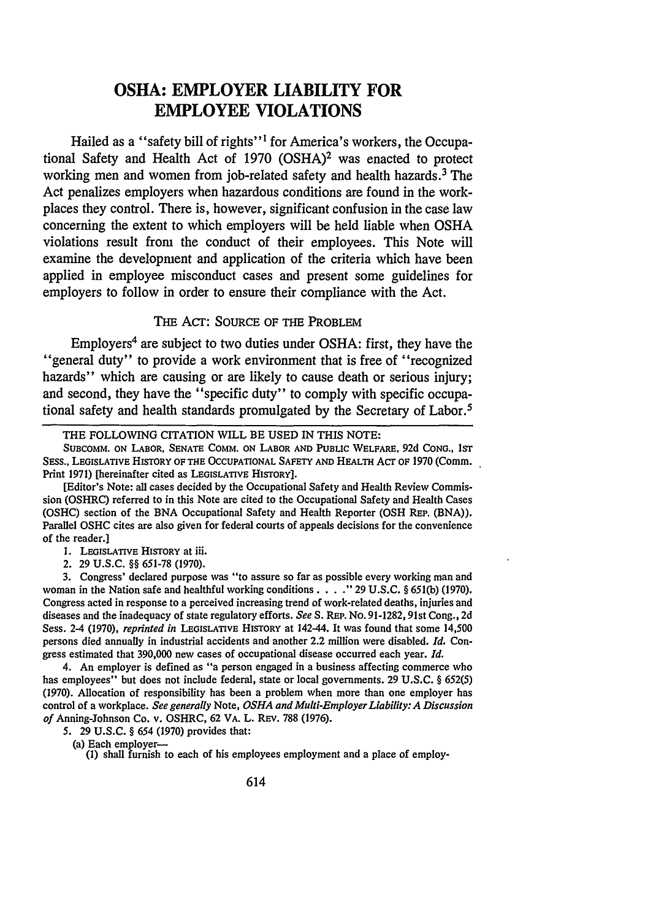# **OSHA: EMPLOYER LIABILITY FOR EMPLOYEE VIOLATIONS**

Hailed as a "safety bill of rights"<sup>1</sup> for America's workers, the Occupational Safety and Health Act of **1970 (OSHA) <sup>2</sup>**was enacted to protect working men and women from job-related safety and health hazards.<sup>3</sup> The Act penalizes employers when hazardous conditions are found in the workplaces they control. There is, however, significant confusion in the case law concerning the extent to which employers will be held liable when **OSHA** violations result from the conduct of their employees. This Note will examine the development and application of the criteria which have been applied in employee misconduct cases and present some guidelines for employers to follow in order to ensure their compliance with the Act.

# THE **ACT: SOURCE** OF THE PROBLEM

Employers<sup>4</sup> are subject to two duties under OSHA: first, they have the "general duty" to provide a work environment that is free of "recognized hazards" which are causing or are likely to cause death or serious injury; and second, they have the "specific duty" to comply with specific occupational safety and health standards promulgated **by** the Secretary of Labor.5

## THE FOLLOWING CITATION WILL BE USED IN THIS NOTE:

**SUBCOMM. ON LABOR, SENATE** COMM. **ON LABOR AND PUBLIC WELFARE, 92d CONG., IST SESS., LEGISLATIVE HISTORY OF THE OCCUPATIONAL SAFETY AND HEALTH ACT OF 1970** (Comm. Print **1971)** [hereinafter cited as LEGISLATIVE HISTORY].

[Editor's Note: all cases decided **by** the Occupational Safety and Health Review Commission (OSHRC) referred to in this Note are cited to the Occupational Safety and Health Cases **(OSHC)** section of the **BNA** Occupational Safety and Health Reporter **(OSH REP. (BNA)).** Parallel **OSHC** cites are also given for federal courts of appeals decisions for the convenience of the reader.]

**1. LEGISLATIVE HISTORY** at **iii.**

2. **29 U.S.C.** §§ **651-78 (1970).**

**3.** Congress' declared purpose was "to assure so far as possible every working man and woman in the Nation safe and healthful working conditions. . **. ." 29 U.S.C.** § **651(b) (1970).** Congress acted in response to a perceived increasing trend of work-related deaths, injuries and diseases and the inadequacy of state regulatory efforts. *See* **S. REP.** No. 91-1282, 91st Cong., **2d** Sess. 2-4 **(1970),** *reprinted in* LEGISLATIVE HISTORY at 142-44. It was found that some 14,500 persons died annually in industrial accidents and another 2.2 million were disabled. *Id.* Congress estimated that **390,000** new cases of occupational disease occurred each year. *Id.*

4. An employer is defined as "a person engaged in a business affecting commerce who has employees" but does not include federal, state or local governments. **29 U.S.C.** § **652(5) (1970).** Allocation of responsibility has been a problem when more than one employer has control of a workplace. *See generally* Note, *OSHA and Multi-EmployerLiability: A Discussion of* Anning-Johnson Co. v. OSHRC, **62** VA. L. REV. **788 (1976).**

**5. 29 U.S.C.** § 654 **(1970)** provides that:

(a) Each employer-

**(1)** shall furnish to each of his employees employment and a place of employ-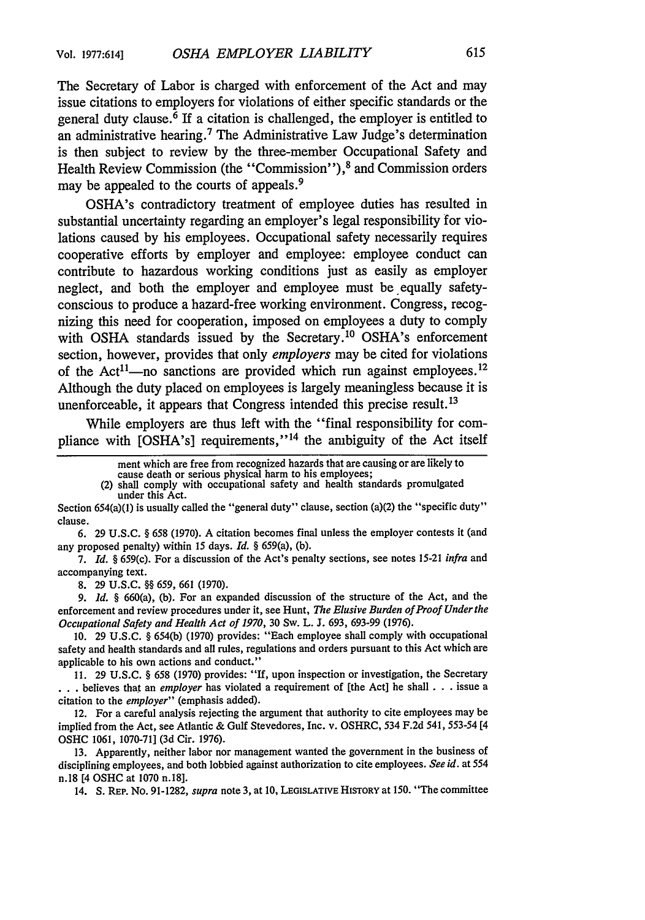The Secretary of Labor is charged with enforcement of the Act and may issue citations to employers for violations of either specific standards or the general duty clause. 6 If a citation is challenged, the employer is entitled to an administrative hearing.7 The Administrative Law Judge's determination is then subject to review by the three-member Occupational Safety and Health Review Commission (the "Commission"),<sup>8</sup> and Commission orders may be appealed to the courts of appeals.<sup>9</sup>

OSHA's contradictory treatment of employee duties has resulted in substantial uncertainty regarding an employer's legal responsibility for violations caused by his employees. Occupational safety necessarily requires cooperative efforts by employer and employee: employee conduct can contribute to hazardous working conditions just as easily as employer neglect, and both the employer and employee must be equally safetyconscious to produce a hazard-free working environment. Congress, recognizing this need for cooperation, imposed on employees a duty to comply with OSHA standards issued by the Secretary.<sup>10</sup> OSHA's enforcement section, however, provides that only *employers* may be cited for violations of the Act<sup>11</sup>-no sanctions are provided which run against employees.<sup>12</sup> Although the duty placed on employees is largely meaningless because it is unenforceable, it appears that Congress intended this precise result.<sup>13</sup>

While employers are thus left with the "final responsibility for compliance with  $[OSHA's]$  requirements,"<sup>14</sup> the ambiguity of the Act itself

ment which are free from recognized hazards that are causing or are likely to cause death or serious physical harm to his employees;

(2) shall comply with occupational safety and health standards promulgated under this Act.

Section 654(a)(1) is usually called the "general duty" clause, section (a)(2) the "specific duty" clause.

6. 29 U.S.C. § 658 (1970). A citation becomes final unless the employer contests it (and any proposed penalty) within 15 days. *Id.* § 659(a), (b).

7. *Id. §* 659(c). For a discussion of the Act's penalty sections, see notes 15-21 *infra* and accompanying text.

8. 29 U.S.C. **§§** 659, 661 (1970).

*9. Id.* § 660(a), **(b).** For an expanded discussion of the structure of the Act, and the enforcement and review procedures under it, see Hunt, *The Elusive Burden of Proof Under the Occupational Safety and Health Act of 1970,* 30 Sw. L. J. 693, 693-99 (1976).

**10.** 29 U.S.C. § 654(b) (1970) provides: "Each employee shall comply with occupational safety and health standards and all rules, regulations and orders pursuant to this Act which are applicable to his own actions and conduct."

**11.** 29 U.S.C. § 658 (1970) provides: "If, upon inspection or investigation, the Secretary . believes that an *employer* has violated a requirement of [the Act] he shall **. . .** issue a citation to the *employer"* (emphasis added).

12. For a careful analysis rejecting the argument that authority to cite employees may be implied from the Act, see Atlantic & Gulf Stevedores, Inc. v. OSHRC, 534 F.2d 541, 553-54 [4 OSHC 1061, 1070-71] (3d Cir. 1976).

13. Apparently, neither labor nor management wanted the government in the business of disciplining employees, and both lobbied against authorization to cite employees. *See id.* at 554 n.18 [4 OSHC at 1070 n.18].

14. **S.** REP. No. 91-1282, *supra* note 3, at 10, **LEGISLATIVE** HISTORY at 150. "The committee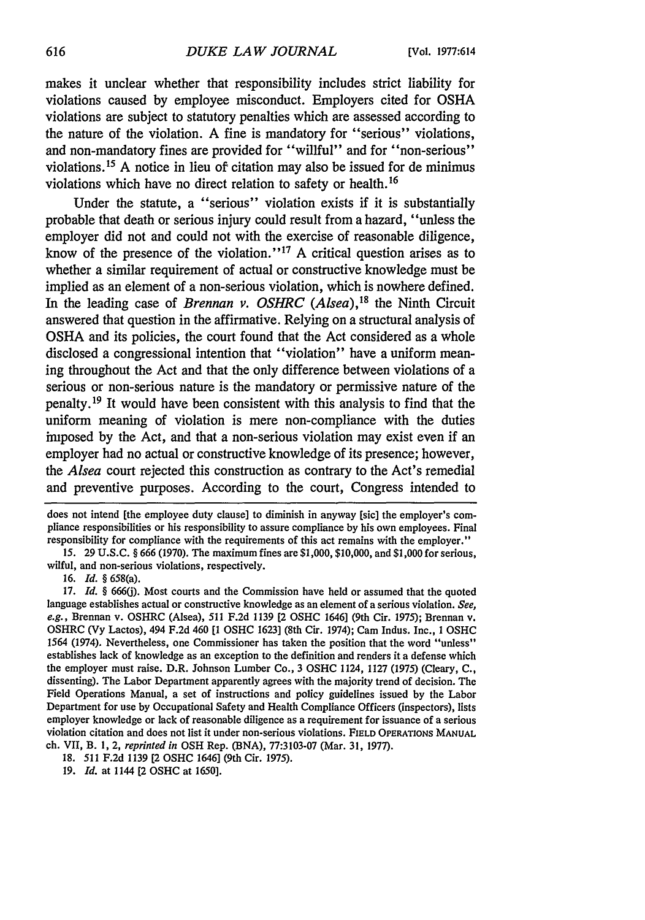makes it unclear whether that responsibility includes strict liability for violations caused by employee misconduct. Employers cited for OSHA violations are subject to statutory penalties which are assessed according to the nature of the violation. A fine is mandatory for "serious" violations, and non-mandatory fines are provided for "willful" and for "non-serious" violations.<sup>15</sup> A notice in lieu of citation may also be issued for de minimus violations which have no direct relation to safety or health.<sup>16</sup>

Under the statute, a "serious" violation exists if it is substantially probable that death or serious injury could result from a hazard, "unless the employer did not and could not with the exercise of reasonable diligence, know of the presence of the violation."<sup>17</sup> A critical question arises as to whether a similar requirement of actual or constructive knowledge must be implied as an element of a non-serious violation, which is nowhere defined. In the leading case of *Brennan v. OSHRC (Alsea),18* the Ninth Circuit answered that question in the affirmative. Relying on a structural analysis of OSHA and its policies, the court found that the Act considered as a whole disclosed a congressional intention that "violation" have a uniform meaning throughout the Act and that the only difference between violations of a serious or non-serious nature is the mandatory or permissive nature of the penalty. 19 It would have been consistent with this analysis to find that the uniform meaning of violation is mere non-compliance with the duties imposed by the Act, and that a non-serious violation may exist even if an employer had no actual or constructive knowledge of its presence; however, the *Alsea* court rejected this construction as contrary to the Act's remedial and preventive purposes. According to the court, Congress intended to

does not intend [the employee duty clause] to diminish in anyway [sic] the employer's compliance responsibilities or his responsibility to assure compliance by his own employees. Final responsibility for compliance with the requirements of this act remains with the employer."

15. 29 U.S.C. § 666 (1970). The maximum fines are \$1,000, \$10,000, and \$1,000 for serious, wilful, and non-serious violations, respectively.

16. *Id.* § 658(a).

17. *Id.* § 666(j). Most courts and the Commission have held or assumed that the quoted language establishes actual or constructive knowledge as an element of a serious violation. *See, e.g.,* Brennan v. OSHRC (Alsea), 511 F.2d 1139 [2 OSHC 1646] (9th Cir. 1975); Brennan v. OSHRC (Vy Lactos), 494 F.2d 460 [1 OSHC 1623] (8th Cir. 1974); Cam Indus. Inc., 1 OSHC 1564 (1974). Nevertheless, one Commissioner has taken the position that the word "unless" establishes lack of knowledge as an exception to the definition and renders it a defense which the employer must raise. D.R. Johnson Lumber Co., 3 OSHC 1124, 1127 (1975) (Cleary, **C.,** dissenting). The Labor Department apparently agrees with the majority trend of decision. The Field Operations Manual, a set of instructions and policy guidelines issued by the Labor Department for use by Occupational Safety and Health Compliance Officers (inspectors), lists employer knowledge or lack of reasonable diligence as a requirement for issuance of a serious violation citation and does not list it under non-serious violations. **FIELD OPERATIONS MANUAL** ch. VII, B. 1, 2, *reprinted in* OSH Rep. (BNA), 77:3103-07 (Mar. 31, 1977).

**18.** 511 **F.2d** 1139 [2 **OSHC** 1646] (9th Cir. **1975).**

19. *Id.* at 1144 [2 **OSHC** at 1650].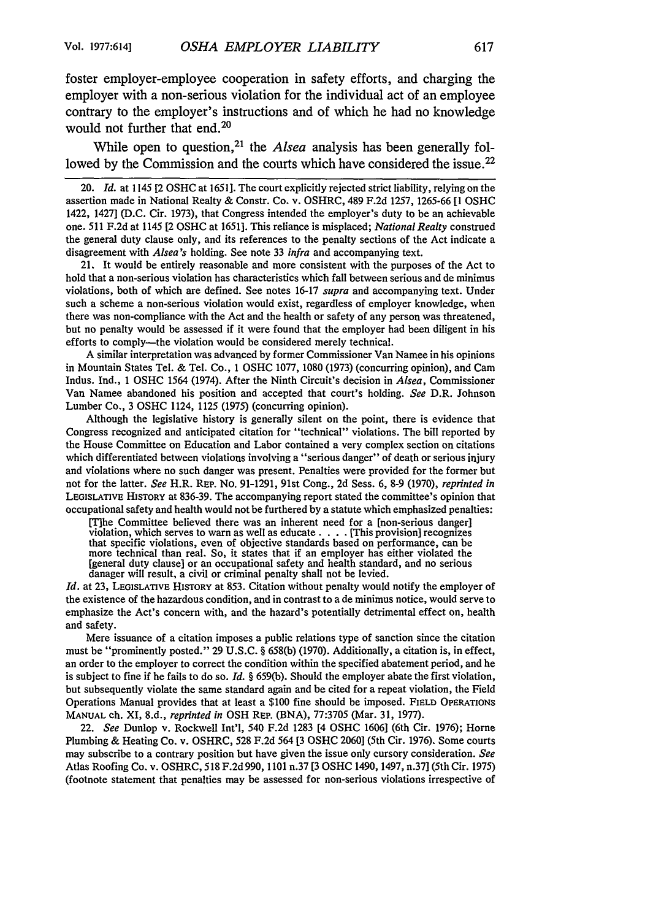foster employer-employee cooperation in safety efforts, and charging the employer with a non-serious violation for the individual act of an employee contrary to the employer's instructions and of which he had no knowledge would not further that end.<sup>20</sup>

While open to question,<sup>21</sup> the *Alsea* analysis has been generally followed by the Commission and the courts which have considered the issue.<sup>22</sup>

20. *Id.* at 1145 [2 OSHC at 1651]. The court explicitly rejected strict liability, relying on the assertion made in National Realty & Constr. Co. v. OSHRC, 489 F.2d 1257, 1265-66 [1 OSHC 1422, 1427] (D.C. Cir. 1973), that Congress intended the employer's duty to be an achievable one. 511 F.2d at 1145 [2 OSHC at 1651]. This reliance is misplaced; *National Realty* construed the general duty clause only, and its references to the penalty sections of the Act indicate a disagreement with *Alsea's* holding. See note 33 *infra* and accompanying text.

21. It would be entirely reasonable and more consistent with the purposes of the Act to hold that a non-serious violation has characteristics which fall between serious and de minimus violations, both of which are defined. See notes 16-17 *supra* and accompanying text. Under such a scheme a non-serious violation would exist, regardless of employer knowledge, when there was non-compliance with the Act and the health or safety of any person was threatened, but no penalty would be assessed if it were found that the employer had been diligent in his efforts to comply-the violation would be considered merely technical.

A similar interpretation was advanced by former Commissioner Van Namee in his opinions in Mountain States Tel. & Tel. Co., 1 OSHC 1077, 1080 (1973) (concurring opinion), and Cam Indus. Ind., I OSHC 1564 (1974). After the Ninth Circuit's decision in *Alsea,* Commissioner Van Namee abandoned his position and accepted that court's holding. *See* D.R. Johnson Lumber Co., 3 OSHC 1124, 1125 (1975) (concurring opinion).

Although the legislative history is generally silent on the point, there is evidence that Congress recognized and anticipated citation for "technical" violations. The bill reported by the House Committee on Education and Labor contained a very complex section on citations which differentiated between violations involving a "serious danger" of death or serious injury and violations where no such danger was present. Penalties were provided for the former but not for the latter. *See* H.R. REP. No. 91-1291, 91st Cong., 2d Sess. 6, 8-9 (1970), *reprinted in* LEGISLATIVE HISTORY at 836-39. The accompanying report stated the committee's opinion that occupational safety and health would not be furthered by a statute which emphasized penalties:

[T]he Committee believed there was an inherent need for a [non-serious danger] violation, which serves to warn as well as educate. . **.** . [This provision] recognizes more technical than real. So, it states that if an employer has either violated the [general duty clause] or an occupational safety and health standard, and no serious danager will result, a civil or criminal penalty shall not be levied.

*Id.* at **23, LEGISLATIVE HISTORY** at 853. Citation without penalty would notify the employer of the existence of the hazardous condition, and in contrast to a de minimus notice, would serve to emphasize the Act's concern with, and the hazard's potentially detrimental effect on, health and safety.

Mere issuance of a citation imposes a public relations type of sanction since the citation must be "prominently posted." 29 **U.S.C.** § 658(b) (1970). Additionally, a citation is, in effect, an order to the employer to correct the condition within the specified abatement period, and he is subject to fine if he fails to do so. *Id. §* 659(b). Should the employer abate the first violation, but subsequently violate the same standard again and be cited for a repeat violation, the Field Operations Manual provides that at least a \$100 fine should be imposed. FIELD OPERATIONS **MANUAL ch.** XI, **8.d.,** *reprinted in* OSH REP. (BNA), **77:3705** (Mar. 31, 1977).

22. *See* Dunlop v. Rockwell Int'l, 540 **F.2d** 1283 [4 OSHC 1606] (6th Cir. 1976); Horne Plumbing & Heating Co. v. OSHRC, 528 **F.2d** 564 **[3** OSHC 2060] (5th Cir. 1976). Some courts may subscribe to a contrary position but have given the issue only cursory consideration. *See* Atlas Roofing Co. v. OSHRC, **518** F.2d 990, **1101** n.37 **[3 OSHC** 1490, 1497, n.37] (5th Cir. **1975)** (footnote statement that penalties may be assessed for non-serious violations irrespective of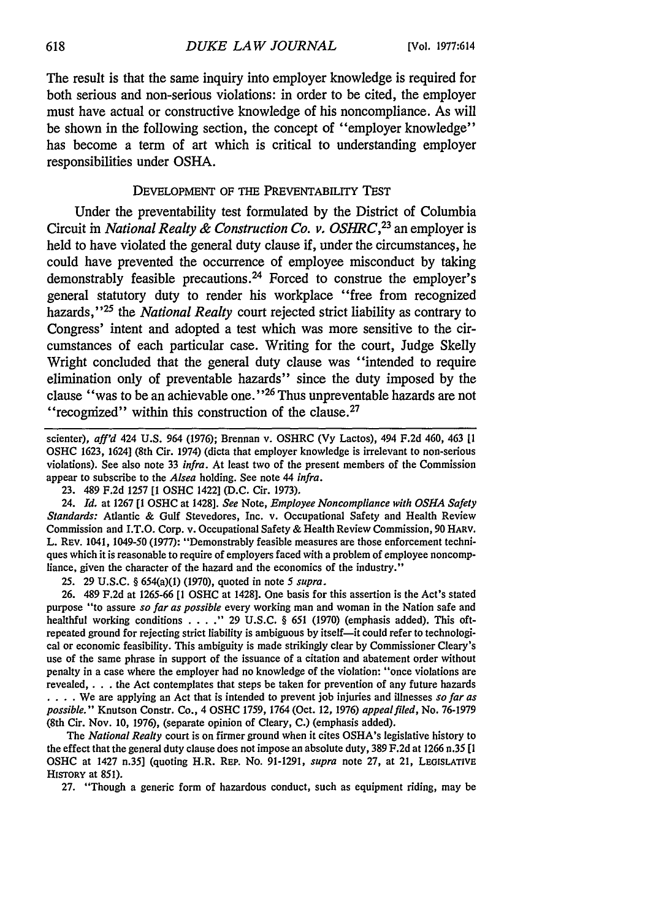The result is that the same inquiry into employer knowledge is required for both serious and non-serious violations: in order to be cited, the employer must have actual or constructive knowledge of his noncompliance. As will be shown in the following section, the concept of "employer knowledge" has become a term of art which is critical to understanding employer responsibilities under **OSHA.**

## DEVELOPMENT OF THE PREVENTABILITY TEST

Under the preventability test formulated **by** the District of Columbia Circuit in *National Realty & Construction Co. v. OSHRC,2 <sup>3</sup>*an employer is held to have violated the general duty clause if, under the circumstances, he could have prevented the occurrence of employee misconduct **by** taking demonstrably feasible precautions.<sup>24</sup> Forced to construe the employer's general statutory duty to render his workplace "free from recognized hazards, **"25** the *National Realty* court rejected strict liability as contrary to Congress' intent and adopted a test which was more sensitive to the circumstances of each particular case. Writing for the court, Judge Skelly Wright concluded that the general duty clause was "intended to require elimination only of preventable hazards" since the duty imposed **by** the clause "was to be an achievable **one." <sup>26</sup>**Thus unpreventable hazards are not "recognized" within this construction of the clause.<sup>27</sup>

23. 489 F.2d 1257 **[1** OSHC 1422] (D.C. Cir. 1973).

24. *Id.* at 1267 **[1** OSHC at 1428]. *See* Note, *Employee Noncompliance with OSHA Safety Standards:* Atlantic & Gulf Stevedores, Inc. v. Occupational Safety and Health Review Commission and I.T.O. Corp. v. Occupational Safety & Health Review Commission, 90 HARV. L. REv. 1041, 1049-50 (1977): "Demonstrably feasible measures are those enforcement techniques which it is reasonable to require of employers faced with a problem of employee noncompliance, given the character of the hazard and the economics of the industry."

25. 29 U.S.C. § 654(a)(1) (1970), quoted in note *5 supra.*

26. 489 F.2d at 1265-66 **[1** OSHC at 1428]. One basis for this assertion is the Act's stated purpose "to assure *so far as possible* every working man and woman in the Nation safe and healthful working conditions .... **."** 29 U.S.C. § **651** (1970) (emphasis added). This oftrepeated ground for rejecting strict liability is ambiguous **by** itself-it could refer to technological or economic feasibility. This ambiguity is made strikingly clear by Commissioner Cleary's use of the same phrase in support of the issuance of a citation and abatement order without penalty in a case where the employer had no knowledge of the violation: "once violations are revealed, **. . .** the Act contemplates that steps be taken for prevention of any future hazards **... .**We are applying an Act that is intended to prevent job injuries and illnesses *so far as possible."* Knutson Constr. Co., 4 OSHC 1759, 1764 (Oct. 12, 1976) *appealfiled,* No. 76-1979 (8th Cir. Nov. 10, 1976), (separate opinion of Cleary, C.) (emphasis added).

*The National Realty* court is on firmer ground when it cites OSHA's legislative history to the effect that the general duty clause does not impose an absolute duty, 389 F.2d at 1266 n.35 **[I** OSHC at 1427 n.35] (quoting H.R. REP. No. 91-1291, *supra* note 27, at 21, LEoISLATIVE HISTORY at 851).

27. "Though a generic form of hazardous conduct, such as equipment riding, may be

scienter), *aff'd* 424 U.S. 964 (1976); Brennan v. OSHRC (Vy Lactos), 494 F.2d 460, 463 [1 OSHC 1623, 1624] (8th Cir. 1974) (dicta that employer knowledge is irrelevant to non-serious violations). See also note 33 *infra.* At least two of the present members of the Commission appear to subscribe to the *Alsea* holding. See note 44 *infra.*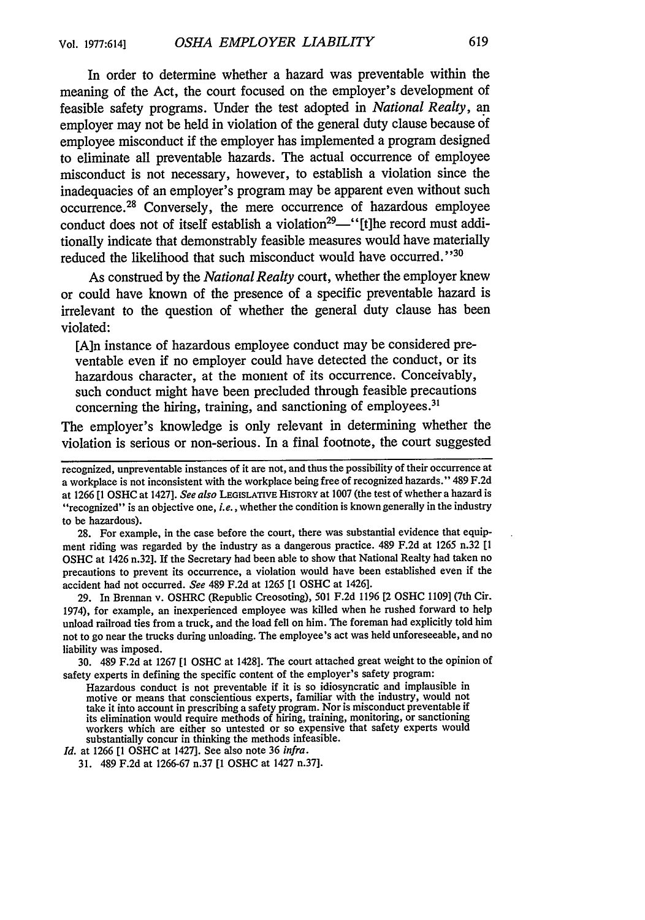In order to determine whether a hazard was preventable within the meaning of the Act, the court focused on the employer's development of feasible safety programs. Under the test adopted in *National Realty, an* employer may not be held in violation of the general duty clause because of employee misconduct if the employer has implemented a program designed to eliminate all preventable hazards. The actual occurrence of employee misconduct is not necessary, however, to establish a violation since the inadequacies of an employer's program may be apparent even without such occurrence.<sup>28</sup> Conversely, the mere occurrence of hazardous employee conduct does not of itself establish a violation<sup>29</sup>—"[t]he record must additionally indicate that demonstrably feasible measures would have materially reduced the likelihood that such misconduct would have occurred.<sup>''30</sup>

As construed by the *National Realty* court, whether the employer knew or could have known of the presence of a specific preventable hazard is irrelevant to the question of whether the general duty clause has been violated:

[A]n instance of hazardous employee conduct may be considered preventable even if no employer could have detected the conduct, or its hazardous character, at the moment of its occurrence. Conceivably, such conduct might have been precluded through feasible precautions concerning the hiring, training, and sanctioning of employees. $31$ 

The employer's knowledge is only relevant in determining whether the violation is serious or non-serious. In a final footnote, the court suggested

recognized, unpreventable instances of it are not, and thus the possibility of their occurrence at a workplace is not inconsistent with the workplace being free of recognized hazards." 489 F.2d at 1266 **[ OSHC** at 1427]. *See also* LEGISLATIVE HISTORY at 1007 (the test of whether a hazard is 'recognized" is an objective one, *i.e.,* whether the condition is known generally in the industry to be hazardous).

28. For example, in the case before the court, there was substantial evidence that equipment riding was regarded by the industry as a dangerous practice. 489 F.2d at 1265 n.32 [1 OSHC at 1426 n.32]. If the Secretary had been able to show that National Realty had taken no precautions to prevent its occurrence, a violation would have been established even if the accident had not occurred. *See* 489 F.2d at 1265 [1 OSHC at 1426].

29. In Brennan v. OSHRC (Republic Creosoting), 501 F.2d 1196 [2 OSHC 1109] (7th Cir. 1974), for example, an inexperienced employee was killed when he rushed forward to help unload railroad ties from a truck, and the load fell on him. The foreman had explicitly told him not to go near the trucks during unloading. The employee's act was held unforeseeable, and no liability was imposed.

30. 489 F.2d at 1267 **[1** OSHC at 1428]. The court attached great weight to the opinion of safety experts in defining the specific content of the employer's safety program:

Hazardous conduct is not preventable if it is so idiosyncratic and implausible in motive or means that conscientious experts, familiar with the industry, would not take it into account in prescribing a safety program. Nor is misconduct preventable if its elimination would require methods of hiring, trai substantially concur in thinking the methods infeasible.

*Id.* at 1266 **[1** OSHC at 1427]. See also note 36 *infra.*

31. 489 F.2d at 1266-67 n.37 [1 OSHC at 1427 n.37].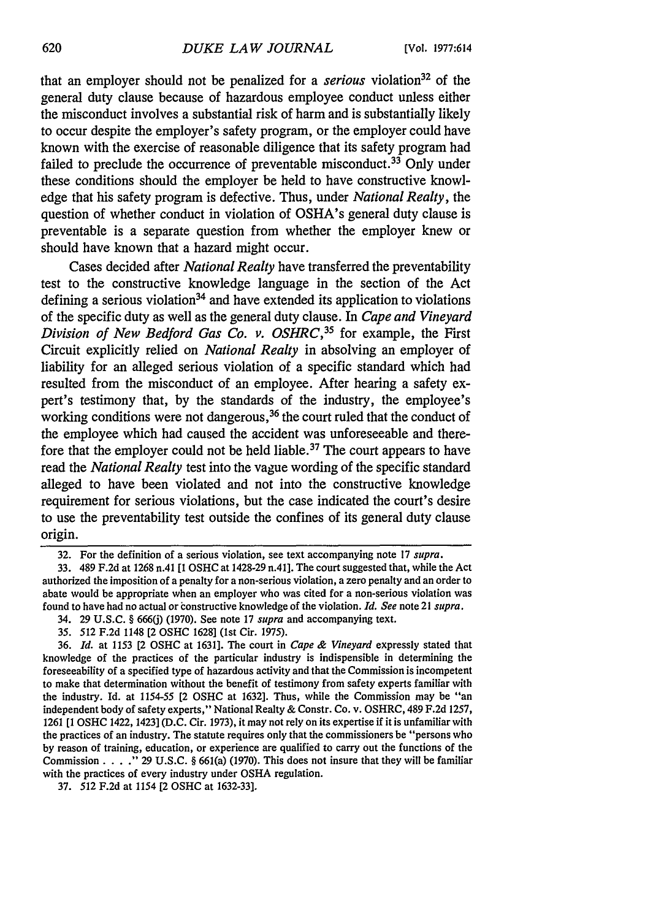that an employer should not be penalized for a *serious* violation<sup>32</sup> of the general duty clause because of hazardous employee conduct unless either the misconduct involves a substantial risk of harm and is substantially likely to occur despite the employer's safety program, or the employer could have known with the exercise of reasonable diligence that its safety program had failed to preclude the occurrence of preventable misconduct.<sup>33</sup> Only under these conditions should the employer be held to have constructive knowledge that his safety program is defective. Thus, under *National Realty,* the question of whether conduct in violation of OSHA's general duty clause is preventable is a separate question from whether the employer knew or should have known that a hazard might occur.

Cases decided after *National Realty* have transferred the preventability test to the constructive knowledge language in the section of the Act defining a serious violation<sup>34</sup> and have extended its application to violations of the specific duty as well as the general duty clause. In *Cape and Vineyard Division of New Bedford Gas Co. v. OSHRC,35* for example, the First Circuit explicitly relied on *National Realty* in absolving an employer of liability for an alleged serious violation of a specific standard which had resulted from the misconduct of an employee. After hearing a safety expert's testimony that, by the standards of the industry, the employee's working conditions were not dangerous,<sup>36</sup> the court ruled that the conduct of the employee which had caused the accident was unforeseeable and therefore that the employer could not be held liable.<sup>37</sup> The court appears to have read the *National Realty* test into the vague wording of the specific standard alleged to have been violated and not into the constructive knowledge requirement for serious violations, but the case indicated the court's desire to use the preventability test outside the confines of its general duty clause origin.

36. *Id.* at 1153 [2 OSHC at 1631]. The court in *Cape & Vineyard* expressly stated that knowledge of the practices of the particular industry is indispensible in determining the foreseeability of a specified type of hazardous activity and that the Commission is incompetent to make that determination without the benefit of testimony from safety experts familiar with the industry. Id. at 1154-55 [2 OSHC at 1632). Thus, while the Commission may be "an independent body of safety experts," National Realty & Constr. Co. v. OSHRC, 489 F.2d 1257, 1261 [1 OSHC 1422, 1423] (D.C. Cir. 1973), it may not rely on its expertise if it is unfamiliar with the practices of an industry. The statute requires only that the commissioners be "persons who **by** reason of training, education, or experience are qualified to carry out the functions of the Commission **.... "** 29 U.S.C. § 661(a) (1970). This does not insure that they will be familiar with the practices of every industry under OSHA regulation.

<sup>32.</sup> For the definition of a serious violation, see text accompanying note 17 *supra.*

<sup>33. 489</sup> F.2d at 1268 n.41 [1 OSHC at 1428-29 n.41]. The court suggested that, while the Act authorized the imposition of a penalty for a non-serious violation, a zero penalty and an order to abate would be appropriate when an employer who was cited for a non-serious violation was found to have had no actual or constructive knowledge of the violation. *Id. See* note 21 *supra.*

<sup>34. 29</sup> U.S.C. § 6660) (1970). See note 17 *supra* and accompanying text.

<sup>35. 512</sup> F.2d 1148 [2 OSHC 1628] (1st Cir. 1975).

<sup>37. 512</sup> F.2d at 1154 [2 **OSHC** at 1632-33].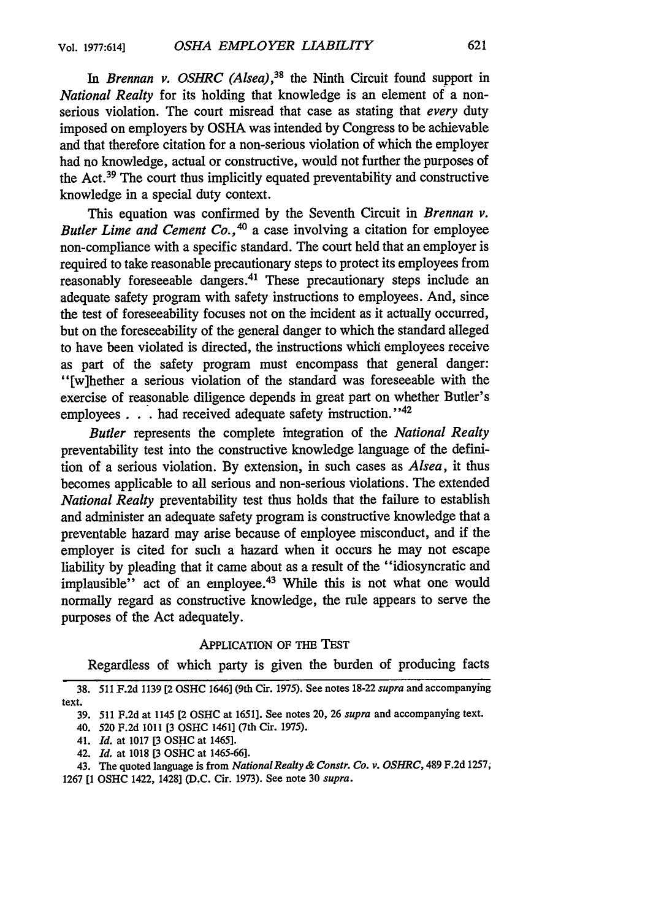In *Brennan v. OSHRC (Alsea)*,<sup>38</sup> the Ninth Circuit found support in *National Realty* for its holding that knowledge is an element of a nonserious violation. The court misread that case as stating that *every* duty imposed on employers by OSHA was intended by Congress to be achievable and that therefore citation for a non-serious violation of which the employer had no knowledge, actual or constructive, would not further the purposes of the Act.<sup>39</sup> The court thus implicitly equated preventability and constructive knowledge in a special duty context.

This equation was confirmed by the Seventh Circuit in *Brennan v. Butler Lime and Cement Co.*, <sup>40</sup> a case involving a citation for employee non-compliance with a specific standard. The court held that an employer is required to take reasonable precautionary steps to protect its employees from reasonably foreseeable dangers. 41 These precautionary steps include an adequate safety program with safety instructions to employees. And, since the test of foreseeability focuses not on the incident as it actually occurred, but on the foreseeability of the general danger to which the standard alleged to have been violated is directed, the instructions which employees receive as part of the safety program must encompass that general danger: "[w]hether a serious violation of the standard was foreseeable with the exercise of reasonable diligence depends in great part on whether Butler's employees **. .** had received adequate safety instruction. "42

*Butler* represents the complete integration of the *National Realty* preventability test into the constructive knowledge language of the definition of a serious violation. By extension, in such cases as *Alsea,* it thus becomes applicable to all serious and non-serious violations. The extended *National Realty* preventability test thus holds that the failure to establish and administer an adequate safety program is constructive knowledge that a preventable hazard may arise because of employee misconduct, and if the employer is cited for such a hazard when it occurs he may not escape liability by pleading that it came about as a result of the "idiosyncratic and implausible" act of an employee.<sup>43</sup> While this is not what one would normally regard as constructive knowledge, the rule appears to serve the purposes of the Act adequately.

#### APPLICATION OF THE TEST

Regardless of which party is given the burden of producing facts

40. 520 F.2d 1011 [3 OSHC 1461] (7th Cir. 1975).

<sup>38. 511</sup> F.2d 1139 [2 OSHC 1646] (9th Cir. 1975). See notes 18-22 *supra* and accompanying text.

<sup>39. 511</sup> F.2d at 1145 [2 OSHC at 1651]. See notes 20, 26 *supra* and accompanying text.

<sup>41.</sup> *Id.* at 1017 [3 OSHC at 1465].

<sup>42.</sup> *Id.* at 1018 [3 OSHC at **1465-66].**

<sup>43.</sup> The quoted language is from *National Realty & Constr. Co. v. OSHRC*, 489 F.2d 1257; 1267 [1 OSHC 1422, 1428] (D.C. Cir. 1973). See note 30 *supra.*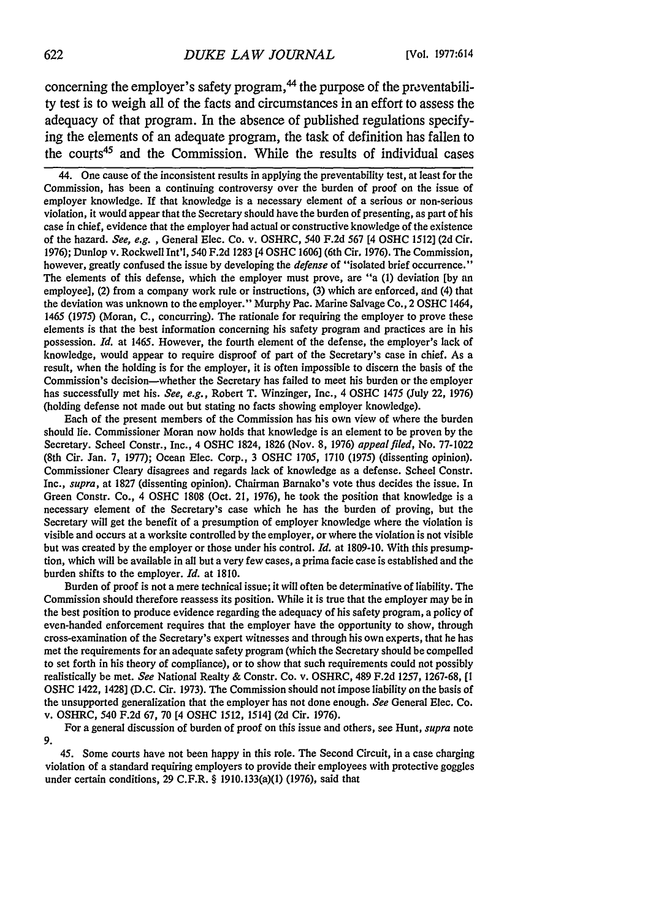concerning the employer's safety program, 44 the purpose of the preventability test is to weigh all of the facts and circumstances in an effort to assess the adequacy of that program. In the absence of published regulations specifying the elements of an adequate program, the task of definition has fallen to the courts 45 and the Commission. While the results of individual cases

44. One cause of the inconsistent results in applying the preventability test, at least for the Commission, has been a continuing controversy over the burden of proof on the issue of employer knowledge. If that knowledge is a necessary element of a serious or non-serious violation, it would appear that the Secretary should have the burden of presenting, as part of his case in chief, evidence that the employer had actual or constructive knowledge of the existence of the hazard. *See, e.g.* , General Elec. Co. v. OSHRC, 540 F.2d 567 [4 OSHC 1512] (2d Cir. 1976); Dunlop v. Rockwell Int'l, 540 F.2d 1283 [4 OSHC 1606] (6th Cir. 1976). The Commission, however, greatly confused the issue by developing the *defense* of "isolated brief occurrence." The elements of this defense, which the employer must prove, are "a (1) deviation [by an employee], (2) from a company work rule or instructions, (3) which are enforced, and (4) that the deviation was unknown to the employer." Murphy Pac. Marine Salvage Co., 2 OSHC 1464, 1465 (1975) (Moran, C., concurring). The rationale for requiring the employer to prove these elements is that the best information concerning his safety program and practices are in his possession. *Id.* at 1465. However, the fourth element of the defense, the employer's lack of knowledge, would appear to require disproof of part of the Secretary's case in chief. As a result, when the holding is for the employer, it is often impossible to discern the basis of the Commission's decision-whether the Secretary has failed to meet his burden or the employer has successfully met his. *See, e.g.,* Robert T. Winzinger, Inc., 4 OSHC 1475 (July 22, 1976) (holding defense not made out but stating no facts showing employer knowledge).

Each of the present members of the Commission has his own view of where the burden should lie. Commissioner Moran now holds that knowledge is an element to be proven by the Secretary. Scheel Constr., Inc., 4 OSHC 1824, 1826 (Nov. 8, 1976) *appeal filed,* No. 77-1022 (8th Cir. Jan. 7, 1977); Ocean Elec. Corp., 3 OSHC 1705, 1710 (1975) (dissenting opinion). Commissioner Cleary disagrees and regards lack of knowledge as a defense. Scheel Constr. Inc., *supra,* at 1827 (dissenting opinion). Chairman Barnako's vote thus decides the issue. In Green Constr. Co., 4 OSHC 1808 (Oct. 21, 1976), he took the position that knowledge is a necessary element of the Secretary's case which he has the burden of proving, but the Secretary will get the benefit of a presumption of employer knowledge where the violation is visible and occurs at a worksite controlled by the employer, or where the violation is not visible but was created by the employer or those under his control. *Id.* at 1809-10. With this presump*tion,* which will be available in all but a very few cases, a prima facie case is established and the burden shifts to the employer. *Id.* at 1810.

Burden of proof is not a mere technical issue; it will often be determinative of liability. The Commission should therefore reassess its position. While it is true that the employer may be in the best position to produce evidence regarding the adequacy of his safety program, a policy of even-handed enforcement requires that the employer have the opportunity to show, through cross-examination of the Secretary's expert witnesses and through his own experts, that he has met the requirements for an adequate safety program (which the Secretary should be compelled to set forth in his theory of compliance), or to show that such requirements could not possibly realistically be met. *See* National Realty & Constr. Co. v. OSHRC, 489 F.2d 1257, 1267-68, [1 OSHC 1422, 1428] (D.C. Cir. 1973). The Commission should not impose liability on the basis of the unsupported generalization that the employer has not done enough. *See* General Elec. Co. v. OSHRC, 540 F.2d 67, 70 [4 OSHC 1512, 1514] (2d Cir. 1976).

For a general discussion of burden of proof on this issue and others, see Hunt, *supra* note 9.

45. Some courts have not been happy in this role. The Second Circuit, in a case charging violation of a standard requiring employers to provide their employees with protective goggles under certain conditions, 29 C.F.R. § 1910.133(a)(1) (1976), said that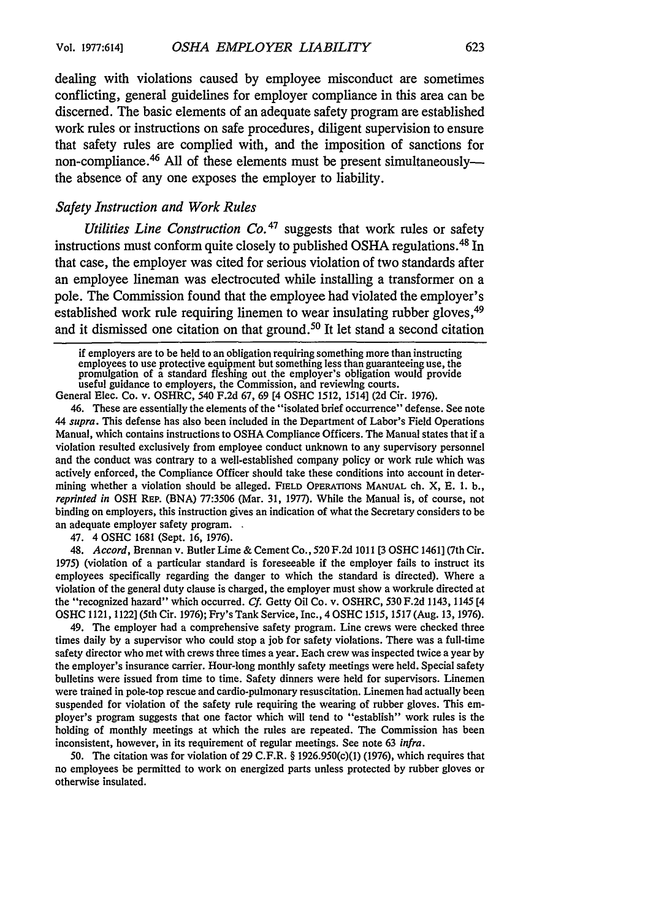dealing with violations caused by employee misconduct are sometimes conflicting, general guidelines for employer compliance in this area can be discerned. The basic elements of an adequate safety program are established work rules or instructions on safe procedures, diligent supervision to ensure that safety rules are complied with, and the imposition of sanctions for non-compliance.<sup>46</sup> All of these elements must be present simultaneously--the absence of any one exposes the employer to liability.

# *Safety Instruction and Work Rules*

*Utilities Line Construction Co.*<sup>47</sup> suggests that work rules or safety instructions must conform quite closely to published OSHA regulations. 48 In that case, the employer was cited for serious violation of two standards after an employee lineman was electrocuted while installing a transformer on a pole. The Commission found that the employee had violated the employer's established work rule requiring linemen to wear insulating rubber gloves, <sup>49</sup> and it dismissed one citation on that ground. 50 It let stand a second citation

if employers are to be held to an obligation requiring something more than instructing<br>employees to use protective equipment but something less than guaranteeing use, the<br>promulgation of a standard fleshing out the employe useful guidance to employers, the Commission, and reviewing courts.

General Elec. Co. v. OSHRC, 540 F.2d 67, 69 [4 OSHC 1512, 1514] (2d Cir. 1976).

46. These are essentially the elements of the "isolated brief occurrence" defense. See note *44 supra.* This defense has also been included in the Department of Labor's Field Operations Manual, which contains instructions to OSHA Compliance Officers. The Manual states that if a violation resulted exclusively from employee conduct unknown to any supervisory personnel and the conduct was contrary to a well-established company policy or work rule which was actively enforced, the Compliance Officer should take these conditions into account in determining whether a violation should be alleged. FIELD OPERATIONS MANUAL ch. X, **E.** 1. b., *reprinted in* OSH REP. (BNA) 77:3506 (Mar. 31, 1977). While the Manual is, of course, not binding on employers, this instruction gives an indication of what the Secretary considers to be an adequate employer safety program.

47. 4 OSHC 1681 (Sept. 16, 1976).

48. *Accord,* Brennan v. Butler Lime & Cement Co., 520 F.2d 1011 [3 OSHC 1461] (7th Cir. **1975)** (violation of a particular standard is foreseeable if the employer fails to instruct its employees specifically regarding the danger to which the standard is directed). Where a violation of the general duty clause is charged, the employer must show a workrule directed at the "recognized hazard" which occurred. *Cf.* Getty Oil Co. v. OSHRC, 530 F.2d 1143, 1145 [4 OSHC 1121, 1122](5thCir. 1976); Fry's Tank Service, Inc., 4OSHC 1515, 1517(Aug. 13, 1976).

49. The employer had a comprehensive safety program. Line crews were checked three times daily by a supervisor who could stop a job for safety violations. There was a full-time safety director who met with crews three times a year. Each crew was inspected twice a year by the employer's insurance carrier. Hour-long monthly safety meetings were held. Special safety bulletins were issued from time to time. Safety dinners were held for supervisors. Linemen were trained in pole-top rescue and cardio-pulmonary resuscitation. Linemen had actually been suspended for violation of the safety rule requiring the wearing of rubber gloves. This employer's program suggests that one factor which will tend to "establish" work rules is the holding of monthly meetings at which the rules are repeated. The Commission has been inconsistent, however, in its requirement of regular meetings. See note 63 *infra.*

50. The citation was for violation of 29 C.F.R. § 1926.950(c)(1) (1976), which requires that no employees be permitted to work on energized parts unless protected by rubber gloves or otherwise insulated.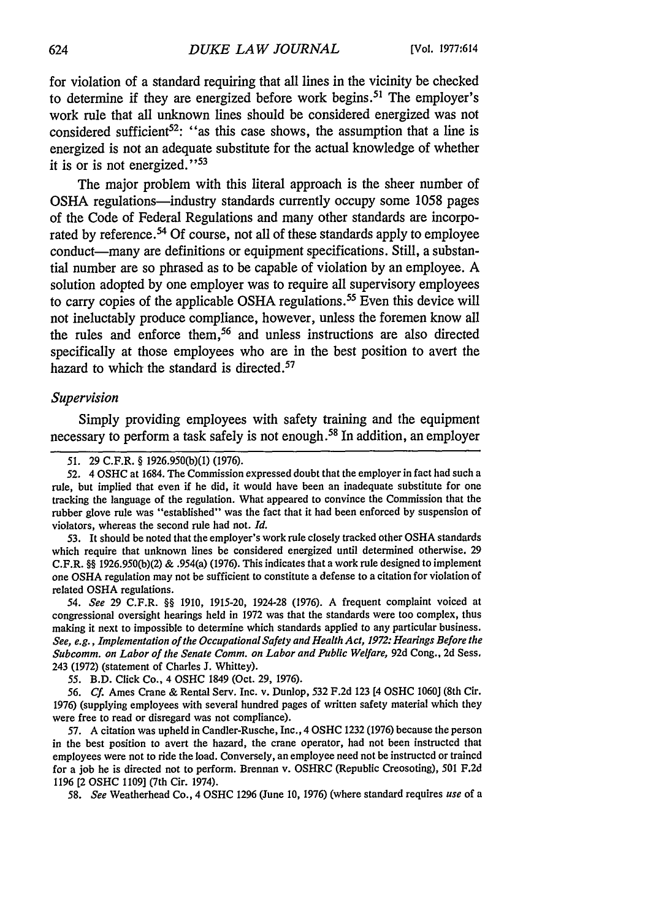for violation of a standard requiring that all lines in the vicinity be checked to determine if they are energized before work begins.<sup>51</sup> The employer's work rule that all unknown lines should be considered energized was not considered sufficient<sup>52</sup>: "as this case shows, the assumption that a line is energized is not an adequate substitute for the actual knowledge of whether it is or is not energized." $53$ 

The major problem with this literal approach is the sheer number of OSHA regulations-industry standards currently occupy some 1058 pages of the Code of Federal Regulations and many other standards are incorporated by reference.<sup>54</sup> Of course, not all of these standards apply to employee conduct—many are definitions or equipment specifications. Still, a substantial number are so phrased as to be capable of violation by an employee. A solution adopted by one employer was to require all supervisory employees to carry copies of the applicable OSHA regulations.<sup>55</sup> Even this device will not ineluctably produce compliance, however, unless the foremen know all the rules and enforce them, 56 and unless instructions are also directed specifically at those employees who are in the best position to avert the hazard to which the standard is directed.<sup>57</sup>

# *Supervision*

Simply providing employees with safety training and the equipment necessary to perform a task safely is not enough. 58 In addition, an employer

53. It should be noted that the employer's work rule closely tracked other OSHA standards which require that unknown lines be considered energized until determined otherwise. 29 C.F.R. §§ 1926.950(b)(2) & .954(a) (1976). This indicates that a work rule designed to implement one OSHA regulation may not be sufficient to constitute a defense to a citation for violation of related OSHA regulations.

*54. See* 29 C.F.R. §§ 1910, 1915-20, 1924-28 (1976). A frequent complaint voiced at congressional oversight hearings held in 1972 was that the standards were too complex, thus making it next to impossible to determine which standards applied to any particular business. *See, e.g., Implementation of the Occupational Safety and Health Act, 1972: Hearings Before the Subcomm. on Labor of the Senate Comm. on Labor and Public Welfare,* 92d Cong., 2d Sess. 243 (1972) (statement of Charles J. Whittey).

*55.* B.D. Click Co., 4 OSHC 1849 (Oct. 29, 1976).

*56. Cf.* Ames Crane & Rental Serv. Inc. v. Dunlop, 532 F.2d 123 [4 OSHC 1060] (8th Cir. 1976) (supplying employees with several hundred pages of written safety material which they were free to read or disregard was not compliance).

57. A citation was upheld in Candler-Rusche, Inc., 4 **OSHC** 1232 (1976) because the person in the best position to avert the hazard, the crane operator, had not been instructed that employees were not to ride the load. Conversely, an employee need not be instructed or trained for a job he is directed not to perform. Brennan v. OSHRC (Republic Creosoting), 501 F.2d 1196 [2 OSHC 1109] (7th Cir. 1974).

*58. See* Weatherhead Co., 4 OSHC 1296 (June 10, 1976) (where standard requires *use* of a

<sup>51. 29</sup> C.F.R. § 1926.950(b)(1) (1976).

<sup>52.</sup> 4 OSHC at 1684. The Commission expressed doubt that the employer in fact had such a rule, but implied that even if he did, it would have been an inadequate substitute for one tracking the language of the regulation. What appeared to convince the Commission that the rubber glove rule was "established" was the fact that it had been enforced **by** suspension of violators, whereas the second rule had not. *Id.*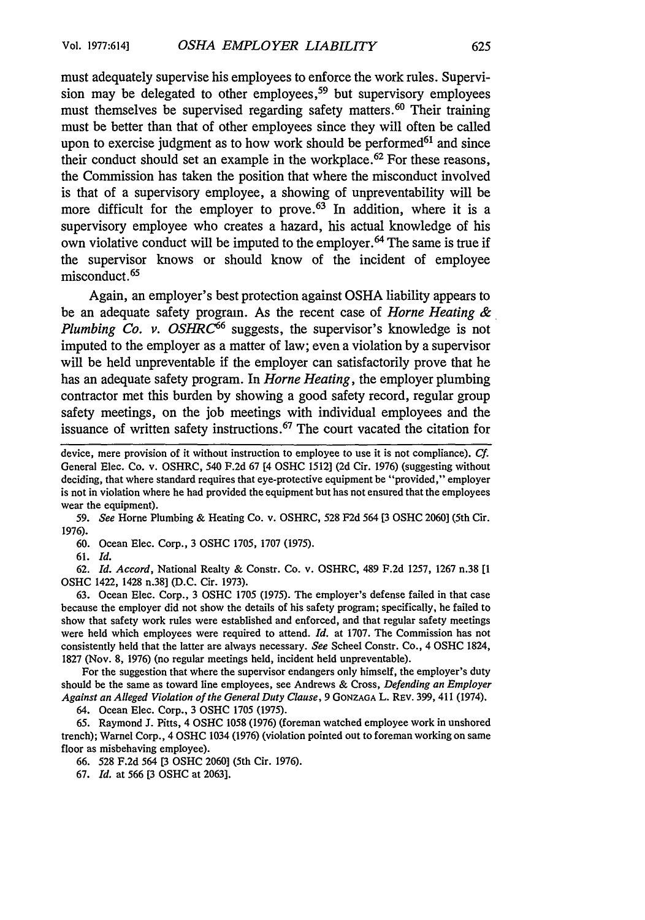must adequately supervise his employees to enforce the work rules. Supervision may be delegated to other employees,  $59$  but supervisory employees must themselves be supervised regarding safety matters.<sup>60</sup> Their training must be better than that of other employees since they will often be called upon to exercise judgment as to how work should be performed<sup> $61$ </sup> and since their conduct should set an example in the workplace. 62 For these reasons, the Commission has taken the position that where the misconduct involved is that of a supervisory employee, a showing of unpreventability will be more difficult for the employer to prove.<sup>63</sup> In addition, where it is a supervisory employee who creates a hazard, his actual knowledge of his own violative conduct will be imputed to the employer.<sup>64</sup> The same is true if the supervisor knows or should know of the incident of employee misconduct.<sup>65</sup>

Again, an employer's best protection against OSHA liability appears to be an adequate safety program. As the recent case of *Home Heating & Plumbing Co. v. OSHRC*<sup>66</sup> suggests, the supervisor's knowledge is not imputed to the employer as a matter of law; even a violation by a supervisor will be held unpreventable if the employer can satisfactorily prove that he has an adequate safety program. In *Home Heating,* the employer plumbing contractor met this burden by showing a good safety record, regular group safety meetings, on the job meetings with individual employees and the issuance of written safety instructions. 67 The court vacated the citation for

59. *See* Home Plumbing & Heating Co. v. OSHRC, 528 F2d 564 [3 OSHC 2060] (5th Cir. 1976).

60. Ocean Elec. Corp., 3 OSHC 1705, 1707 (1975).

61. **Id.**

62. *Id. Accord,* National Realty & Constr. Co. v. OSHRC, 489 F.2d 1257, 1267 n.38 [1 OSHC 1422, 1428 n.38] (D.C. Cir. 1973).

63. Ocean Elec. Corp., 3 OSHC 1705 (1975). The employer's defense failed in that case because the employer did not show the details of his safety program; specifically, he failed to show that safety work rules were established and enforced, and that regular safety meetings were held which employees were required to attend. *Id.* at 1707. The Commission has not consistently held that the latter are always necessary. *See* Scheel Constr. Co., 4 OSHC 1824, 1827 (Nov. 8, 1976) (no regular meetings held, incident held unpreventable).

For the suggestion that where the supervisor endangers only himself, the employer's duty should be the same as toward line employees, see Andrews & Cross, *Defending an Employer Against an Alleged Violation of the General Duty Clause,* 9 **GONZAGA** L. REv. 399, 411 (1974).

64. Ocean Elec. Corp., 3 OSHC 1705 (1975).

65. Raymond **J.** Pitts, 4 OSHC 1058 (1976) (foreman watched employee work in unshored trench); Warnel Corp., 4 OSHC 1034 (1976) (violation pointed out to foreman working on same floor as misbehaving employee).

66. 528 F.2d 564 [3 **OSHC 2060]** (5th Cir. 1976).

67. *Id.* at 566 [3 OSHC at 2063].

device, mere provision of it without instruction to employee to use it is not compliance). *Cf.* General Elec. Co. v. OSHRC, 540 F.2d 67 [4 OSHC 1512] (2d Cir. 1976) (suggesting without deciding, that where standard requires that eye-protective equipment be "provided," employer is not in violation where he had provided the equipment but has not ensured that the employees wear the equipment).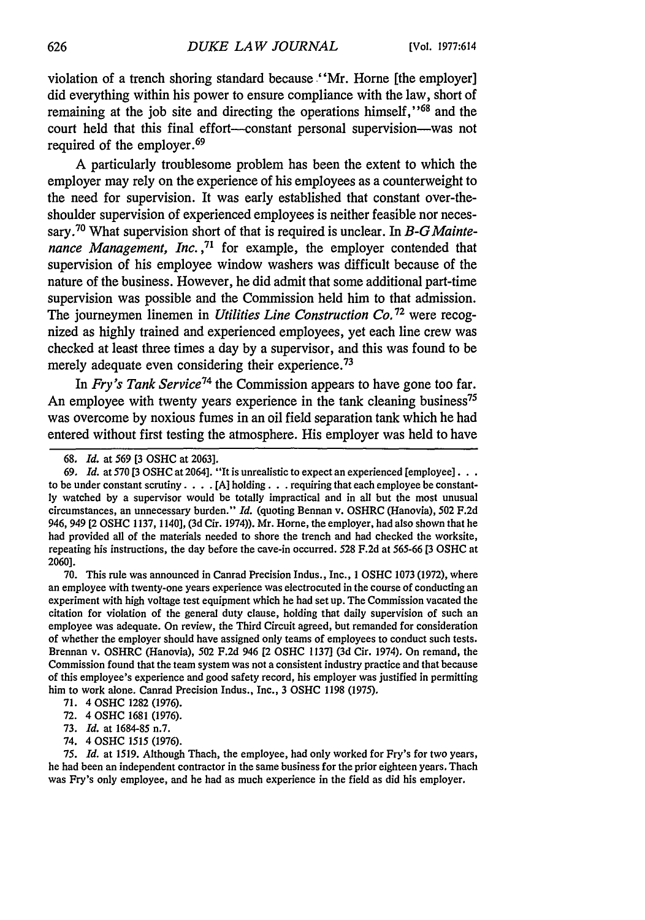violation of a trench shoring standard because "Mr. Horne [the employer] did everything within his power to ensure compliance with the law, short of remaining at the job site and directing the operations himself,  $168$  and the court held that this final effort-constant personal supervision-was not required of the employer. <sup>69</sup>

A particularly troublesome problem has been the extent to which the employer may rely on the experience of his employees as a counterweight to the need for supervision. It was early established that constant over-theshoulder supervision of experienced employees is neither feasible nor necessary. 70 What supervision short of that is required is unclear. In *B-GMaintenance Management, Inc.*,<sup>71</sup> for example, the employer contended that supervision of his employee window washers was difficult because of the nature of the business. However, he did admit that some additional part-time supervision was possible and the Commission held him to that admission. The journeymen linemen in *Utilities Line Construction Co.*<sup>72</sup> were recognized as highly trained and experienced employees, yet each line crew was checked at least three times a day by a supervisor, and this was found to be merely adequate even considering their experience.<sup>73</sup>

In *Fry's Tank Service74* the Commission appears to have gone too far. An employee with twenty years experience in the tank cleaning business<sup>75</sup> was overcome by noxious fumes in an oil field separation tank which he had entered without first testing the atmosphere. His employer was held to have

70. This rule was announced in Canrad Precision Indus., Inc., **I** OSHC 1073 (1972), where an employee with twenty-one years experience was electrocuted in the course of conducting an experiment with high voltage test equipment which he had set up. The Commission vacated the citation for violation of the general duty clause, holding that daily supervision of such an employee was adequate. On review, the Third Circuit agreed, but remanded for consideration of whether the employer should have assigned only teams of employees to conduct such tests. Brennan v. OSHRC (Hanovia), 502 F.2d 946 [2 OSHC 1137] (3d Cir. 1974). On remand, the Commission found that the team system was not a consistent industry practice and that because of this employee's experience and good safety record, his employer was justified in permitting him to work alone. Canrad Precision Indus., Inc., 3 OSHC 1198 (1975).

75. *Id.* at 1519. Although Thach, the employee, had only worked for Fry's for two years, he had been an independent contractor in the same business for the prior eighteen years. Thach was Fry's only employee, and he had as much experience in the field as did his employer.

<sup>68.</sup> *Id.* at 569 [3 OSHC at 2063].

<sup>69.</sup> *Id.* at 570 **[3** OSHC at 2064]. "It is unrealistic to expect an experienced [employee]... to be under constant scrutiny. . **.** . [A] holding. **. .** requiring that each employee be constantly watched by a supervisor would be totally impractical and in all but the most unusual circumstances, an unnecessary burden." *Id.* (quoting Bennan v. OSHRC (Hanovia), 502 F.2d 946, 949 [2 OSHC 1137, 1140], (3d Cir. 1974)). Mr. Home, the employer, had also shown that he had provided all of the materials needed to shore the trench and had checked the worksite, repeating his instructions, the day before the cave-in occurred. 528 F.2d at 565-66 [3 OSHC at 2060].

<sup>71. 4</sup> OSHC 1282 (1976).

<sup>72. 4</sup> **OSHC** 1681 (1976).

<sup>73.</sup> *Id.* at 1684-85 n.7.

<sup>74. 4</sup> **OSHC** 1515 (1976).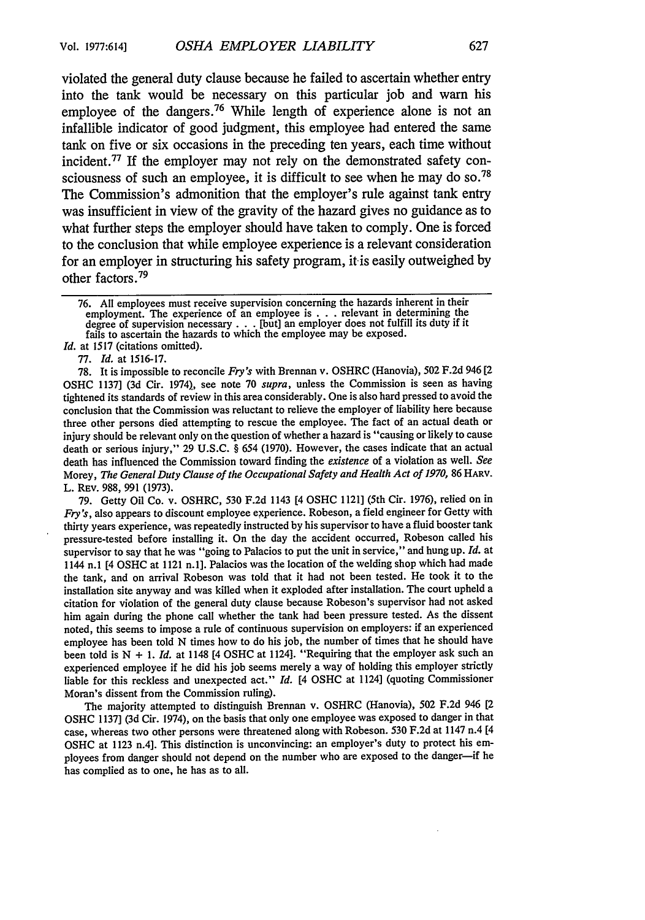violated the general duty clause because he failed to ascertain whether entry into the tank would be necessary on this particular job and warn his employee of the dangers.<sup>76</sup> While length of experience alone is not an infallible indicator of good judgment, this employee had entered the same tank on five or six occasions in the preceding ten years, each time without incident.<sup> $77$ </sup> If the employer may not rely on the demonstrated safety consciousness of such an employee, it is difficult to see when he may do so.<sup>78</sup> The Commission's admonition that the employer's rule against tank entry was insufficient in view of the gravity of the hazard gives no guidance as to what further steps the employer should have taken to comply. One is forced to the conclusion that while employee experience is a relevant consideration for an employer in structuring his safety program, it-is easily outweighed by other factors. <sup>79</sup>

*Id.* at 1517 (citations omitted).

77. *Id.* at 1516-17.

78. It is impossible to reconcile *Fry's* with Brennan v. OSHRC (Hanovia), 502 F.2d 946 [2 OSHC 1137] (3d Cir. 1974), see note 70 *supra,* unless the Commission is seen as having tightened its standards of review in this area considerably. One is also hard pressed to avoid the conclusion that the Commission was reluctant to relieve the employer of liability here because three other persons died attempting to rescue the employee. The fact of an actual death or injury should be relevant only on the question of whether a hazard is "causing or likely to cause death or serious injury," 29 U.S.C. § 654 (1970). However, the cases indicate that an actual death has influenced the Commission toward finding the *existence* of a violation as well. *See* Morey, *The General Duty Clause of the Occupational Safety and Health Act of 1970,* 86 HARV. L. REV. 988, 991 (1973).

79. Getty Oil Co. v. OSHRC, 530 F.2d 1143 [4 OSHC 1121] (5th Cir. 1976), relied on in *Fry's,* also appears to discount employee experience. Robeson, a field engineer for Getty with thirty years experience, was repeatedly instructed by his supervisor to have a fluid booster tank pressure-tested before installing it. On the day the accident occurred, Robeson called his supervisor to say that he was "going to Palacios to put the unit in service," and hung up. *Id.* at 1144 n.1 [4 OSHC at 1121 n.1]. Palacios was the location of the welding shop which had made the tank, and on arrival Robeson was told that it had not been tested. He took it to the installation site anyway and was killed when it exploded after installation. The court upheld a citation for violation of the general duty clause because Robeson's supervisor had not asked him again during the phone call whether the tank had been pressure tested. As the dissent noted, this seems to impose a rule of continuous supervision on employers: if an experienced employee has been told N times how to do his job, the number of times that he should have been told is  $N + 1$ . *Id.* at 1148 [4 OSHC at 1124]. "Requiring that the employer ask such an experienced employee if he did his job seems merely a way of holding this employer strictly liable for this reckless and unexpected act." *Id.* [4 OSHC at 1124] (quoting Commissioner Moran's dissent from the Commission ruling).

The majority attempted to distinguish Brennan v. OSHRC (Hanovia), 502 F.2d 946 [2 OSHC 1137] (3d Cir. 1974), on the basis that only one employee was exposed to danger in that case, whereas two other persons were threatened along with Robeson. 530 F.2d at 1147 n.4 [4 OSHC at 1123 n.4]. This distinction is unconvincing: an employer's duty to protect his employees from danger should not depend on the number who are exposed to the danger-if he has complied as to one, he has as to all.

<sup>76.</sup> All employees must receive supervision concerning the hazards inherent in their employment. The experience of an employee is . . . relevant in determining the degree of supervision necessary **. .** . [but] an employer does not fulfill its duty if it fails to ascertain the hazards to which the employee may be exposed.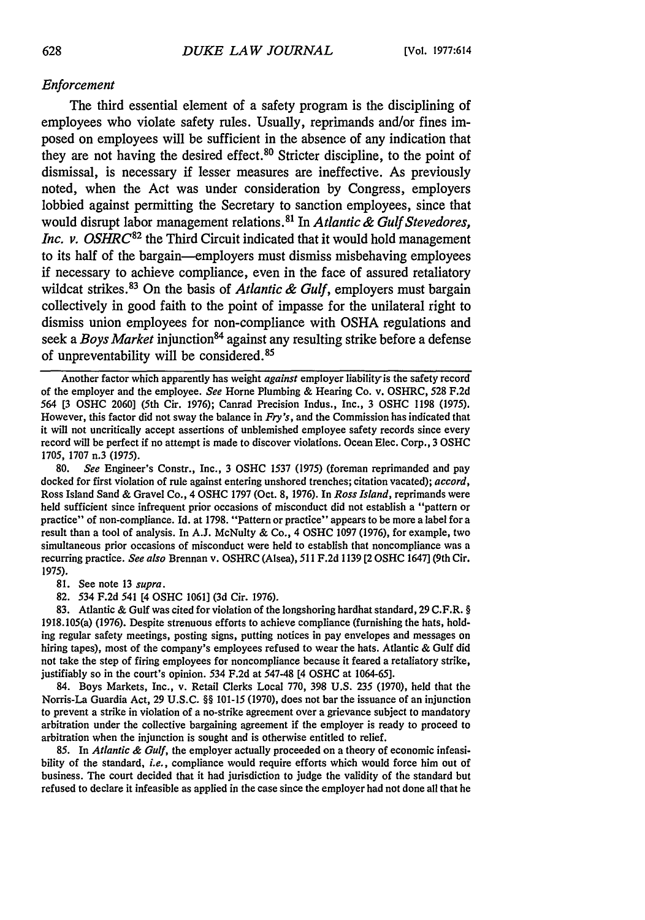### *Enforcement*

The third essential element of a safety program is the disciplining of employees who violate safety rules. Usually, reprimands and/or fines imposed on employees will be sufficient in the absence of any indication that they are not having the desired effect.<sup>80</sup> Stricter discipline, to the point of dismissal, is necessary if lesser measures are ineffective. As previously noted, when the Act was under consideration **by** Congress, employers lobbied against permitting the Secretary to sanction employees, since that would disrupt labor management relations. 81 In *Atlantic & Gulf Stevedores, Inc. v.*  $OSHRC^{82}$  the Third Circuit indicated that it would hold management to its half of the bargain-employers must dismiss misbehaving employees if necessary to achieve compliance, even in the face of assured retaliatory wildcat strikes. 83 On the basis of *Atlantic & Gulf,* employers must bargain collectively in good faith to the point of impasse for the unilateral right to dismiss union employees for non-compliance with OSHA regulations and seek a *Boys Market* injunction<sup>84</sup> against any resulting strike before a defense of unpreventability will be considered.<sup>85</sup>

Another factor which apparently has weight *against* employer liability is the safety record of the employer and the employee. *See* Horne Plumbing & Hearing Co. v. OSHRC, **528 F.2d** 564 [3 OSHC 2060] (5th Cir. 1976); Canrad Precision Indus., Inc., 3 OSHC **1198** (1975). However, this factor did not sway the balance in *Fry's,* and the Commission has indicated that it will not uncritically accept assertions of unblemished employee safety records since every record will be perfect if no attempt is made to discover violations. Ocean Elec. Corp., 3 OSHC **1705,** 1707 n.3 (1975).

**80.** *See* Engineer's Constr., Inc., 3 OSHC **1537** (1975) (foreman reprimanded and pay docked for first violation of rule against entering unshored trenches; citation vacated); *accord,* Ross Island Sand & Gravel Co., 4 OSHC **1797** (Oct. **8,** 1976). In *Ross Island,* reprimands were held sufficient since infrequent prior occasions of misconduct did not establish a "pattern or practice" of non-compliance. **Id.** at **1798.** "Pattern or practice" appears to be more a label for a result than a tool of analysis. In A.J. McNulty & Co., 4 OSHC 1097 (1976), for example, two simultaneous prior occasions of misconduct were held to establish that noncompliance was a recurring practice. *See also* Brennan v. OSHRC (Alsea), **511 F.2d** 1139 [2 OSHC 1647] (9th Cir. **1975).**

**81.** See note 13 *supra.*

83. Atlantic & Gulf was cited for violation of the longshoring hardhat standard, 29 C.F.R. § 1918.105(a) (1976). Despite strenuous efforts to achieve compliance (furnishing the hats, holding regular safety meetings, posting signs, putting notices in pay envelopes and messages on hiring tapes), most of the company's employees refused to wear the hats. Atlantic & Gulf did not take the step of firing employees for noncompliance because it feared a retaliatory strike, justifiably so in the court's opinion. 534 F.2d at 547-48 [4 OSHC at 1064-65].

84. Boys Markets, Inc., v. Retail Clerks Local 770, 398 U.S. 235 (1970), held that the Norris-La Guardia Act, 29 U.S.C. §§ 101-15 (1970), does not bar the issuance of an injunction to prevent a strike in violation of a no-strike agreement over a grievance subject to mandatory arbitration under the collective bargaining agreement if the employer is ready to proceed to arbitration when the injunction is sought and is otherwise entitled to relief.

85. In *Atlantic & Gulf,* the employer actually proceeded on a theory of economic infeasibility of the standard, *i.e.,* compliance would require efforts which would force him out of business. The court decided that it had jurisdiction to judge the validity of the standard but refused to declare it infeasible as applied in the case since the employer had not done all that he

<sup>82. 534</sup> F.2d 541 [4 OSHC 1061] (3d Cir. 1976).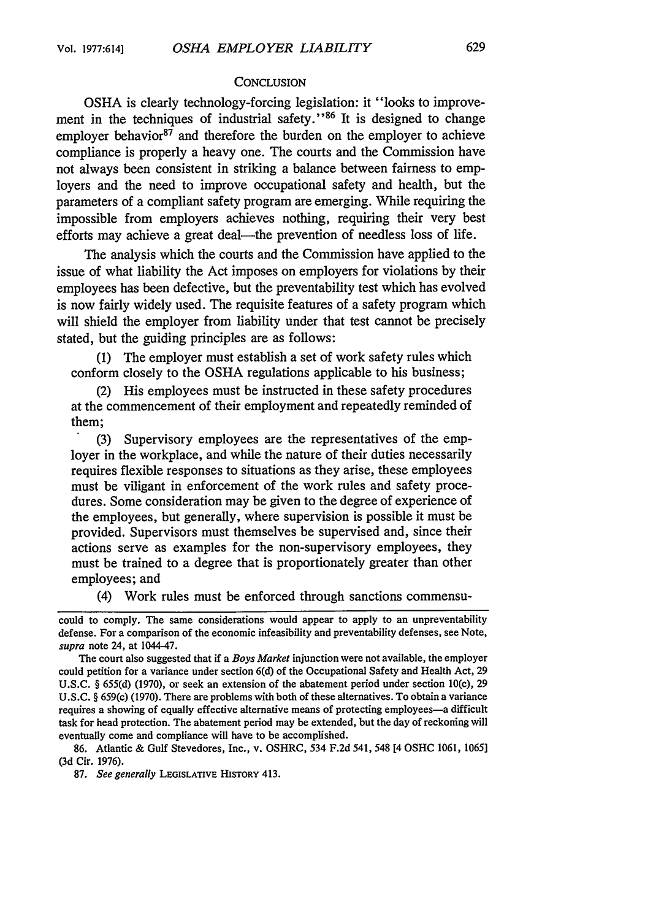#### **CONCLUSION**

OSHA is clearly technology-forcing legislation: it "looks to improvement in the techniques of industrial safety."<sup>86</sup> It is designed to change employer behavior<sup>87</sup> and therefore the burden on the employer to achieve compliance is properly a heavy one. The courts and the Commission have not always been consistent in striking a balance between fairness to employers and the need to improve occupational safety and health, but the parameters of a compliant safety program are emerging. While requiring the impossible from employers achieves nothing, requiring their very best efforts may achieve a great deal-the prevention of needless loss of life.

The analysis which the courts and the Commission have applied to the issue of what liability the Act imposes on employers for violations by their employees has been defective, but the preventability test which has evolved is now fairly widely used. The requisite features of a safety program which will shield the employer from liability under that test cannot be precisely stated, but the guiding principles are as follows:

(1) The employer must establish a set of work safety rules which conform closely to the OSHA regulations applicable to his business;

(2) His employees must be instructed in these safety procedures at the commencement of their employment and repeatedly reminded of them;<br>(3) Supervisory employees are the representatives of the emp-

loyer in the workplace, and while the nature of their duties necessarily requires flexible responses to situations as they arise, these employees must be viligant in enforcement of the work rules and safety procedures. Some consideration may be given to the degree of experience of the employees, but generally, where supervision is possible it must be provided. Supervisors must themselves be supervised and, since their actions serve as examples for the non-supervisory employees, they must be trained to a degree that is proportionately greater than other employees; and

(4) Work rules must be enforced through sanctions commensu-

The court also suggested that if a *Boys Market* injunction were not available, the employer could petition for a variance under section 6(d) of the Occupational Safety and Health Act, 29 U.S.C. § 655(d) (1970), or seek an extension of the abatement period under section 10(c), 29 U.S.C. § 659(c) (1970). There are problems with both of these alternatives. To obtain a variance requires a showing of equally effective alternative means of protecting employees-a difficult task for head protection. The abatement period may be extended, but the day of reckoning will eventually come and compliance will have to be accomplished.

86. Atlantic & Gulf Stevedores, Inc., v. OSHRC, 534 F.2d 541, 548 [4 OSHC 1061, 1065] (3d Cir. 1976).

**87.** *See generally* **LEGISLATIVE** HIsTORY 413.

could to comply. The same considerations would appear to apply to an unpreventability defense. For a comparison of the economic infeasibility and preventability defenses, see Note, *supra* note 24, at 1044-47.